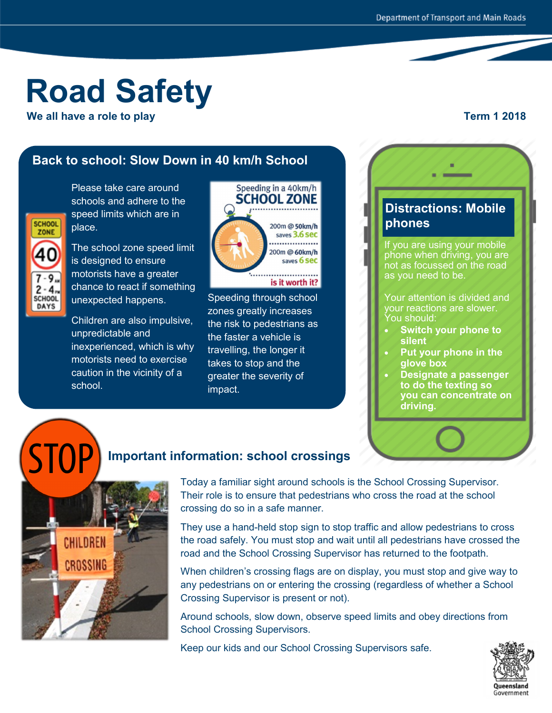# **Road Safety**

**EXECUTE:** We all have a role to play  $\blacksquare$   $\blacksquare$   $\blacksquare$   $\blacksquare$   $\blacksquare$   $\blacksquare$   $\blacksquare$   $\blacksquare$   $\blacksquare$   $\blacksquare$   $\blacksquare$   $\blacksquare$   $\blacksquare$   $\blacksquare$   $\blacksquare$   $\blacksquare$   $\blacksquare$   $\blacksquare$   $\blacksquare$   $\blacksquare$   $\blacksquare$   $\blacksquare$   $\blacksquare$   $\blacksquare$   $\blacksquare$   $\blacksquare$   $\$ 

## **Back to school: Slow Down in 40 km/h School**

Please take care around schools and adhere to the speed limits which are in place.



The school zone speed limit is designed to ensure motorists have a greater chance to react if something unexpected happens.

Children are also impulsive, unpredictable and inexperienced, which is why motorists need to exercise caution in the vicinity of a school.



Speeding through school zones greatly increases the risk to pedestrians as the faster a vehicle is travelling, the longer it takes to stop and the greater the severity of impact.

### **Distractions: Mobile phones**

If you are using your mobile phone when driving, you are not as focussed on the road as you need to be.

Your attention is divided and your reactions are slower. You should:

- **Switch your phone to silent**
- **Put your phone in the glove box**
- **Designate a passenger to do the texting so you can concentrate on driving.**

# **Important information: school crossings**



Today a familiar sight around schools is the School Crossing Supervisor. Their role is to ensure that pedestrians who cross the road at the school crossing do so in a safe manner.

They use a hand-held stop sign to stop traffic and allow pedestrians to cross the road safely. You must stop and wait until all pedestrians have crossed the road and the School Crossing Supervisor has returned to the footpath.

When children's crossing flags are on display, you must stop and give way to any pedestrians on or entering the crossing (regardless of whether a School Crossing Supervisor is present or not).

Around schools, slow down, observe speed limits and obey directions from School Crossing Supervisors.

Keep our kids and our School Crossing Supervisors safe.